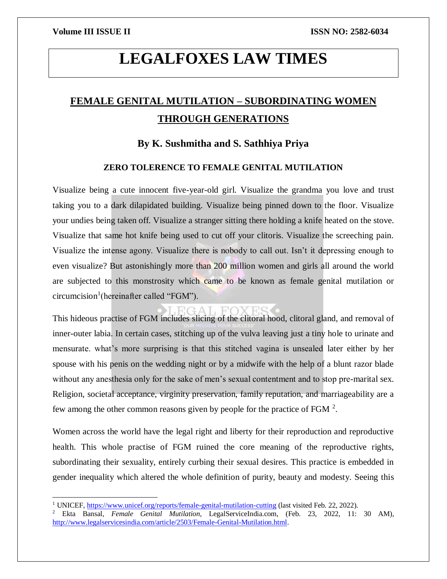$\overline{a}$ 

# **LEGALFOXES LAW TIMES**

## **FEMALE GENITAL MUTILATION – SUBORDINATING WOMEN THROUGH GENERATIONS**

### **By K. Sushmitha and S. Sathhiya Priya**

### **ZERO TOLERENCE TO FEMALE GENITAL MUTILATION**

Visualize being a cute innocent five-year-old girl. Visualize the grandma you love and trust taking you to a dark dilapidated building. Visualize being pinned down to the floor. Visualize your undies being taken off. Visualize a stranger sitting there holding a knife heated on the stove. Visualize that same hot knife being used to cut off your clitoris. Visualize the screeching pain. Visualize the intense agony. Visualize there is nobody to call out. Isn't it depressing enough to even visualize? But astonishingly more than 200 million women and girls all around the world are subjected to this monstrosity which came to be known as female genital mutilation or circumcision<sup>1</sup>(hereinafter called "FGM").

This hideous practise of FGM includes slicing of the clitoral hood, clitoral gland, and removal of inner-outer labia. In certain cases, stitching up of the vulva leaving just a tiny hole to urinate and mensurate. what's more surprising is that this stitched vagina is unsealed later either by her spouse with his penis on the wedding night or by a midwife with the help of a blunt razor blade without any anesthesia only for the sake of men's sexual contentment and to stop pre-marital sex. Religion, societal acceptance, virginity preservation, family reputation, and marriageability are a few among the other common reasons given by people for the practice of FGM  $^2$ .

Women across the world have the legal right and liberty for their reproduction and reproductive health. This whole practise of FGM ruined the core meaning of the reproductive rights, subordinating their sexuality, entirely curbing their sexual desires. This practice is embedded in gender inequality which altered the whole definition of purity, beauty and modesty. Seeing this

<sup>&</sup>lt;sup>1</sup> UNICEF,<https://www.unicef.org/reports/female-genital-mutilation-cutting> (last visited Feb. 22, 2022).

<sup>2</sup> Ekta Bansal, *Female Genital Mutilation,* LegalServiceIndia.com, (Feb. 23, 2022, 11: 30 AM), [http://www.legalservicesindia.com/article/2503/Female-Genital-Mutilation.html.](http://www.legalservicesindia.com/article/2503/Female-Genital-Mutilation.html)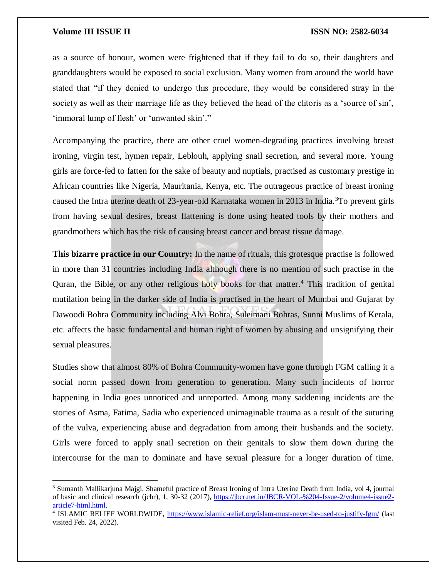$\overline{\phantom{a}}$ 

as a source of honour, women were frightened that if they fail to do so, their daughters and granddaughters would be exposed to social exclusion. Many women from around the world have stated that "if they denied to undergo this procedure, they would be considered stray in the society as well as their marriage life as they believed the head of the clitoris as a 'source of sin', 'immoral lump of flesh' or 'unwanted skin'."

Accompanying the practice, there are other cruel women-degrading practices involving breast ironing, virgin test, hymen repair, Leblouh, applying snail secretion, and several more. Young girls are force-fed to fatten for the sake of beauty and nuptials, practised as customary prestige in African countries like Nigeria, Mauritania, Kenya, etc. The outrageous practice of breast ironing caused the Intra uterine death of 23-year-old Karnataka women in 2013 in India.<sup>3</sup>To prevent girls from having sexual desires, breast flattening is done using heated tools by their mothers and grandmothers which has the risk of causing breast cancer and breast tissue damage.

**This bizarre practice in our Country:** In the name of rituals, this grotesque practise is followed in more than 31 countries including India although there is no mention of such practise in the Quran, the Bible, or any other religious holy books for that matter.<sup>4</sup> This tradition of genital mutilation being in the darker side of India is practised in the heart of Mumbai and Gujarat by Dawoodi Bohra Community including Alvi Bohra, Suleimani Bohras, Sunni Muslims of Kerala, etc. affects the basic fundamental and human right of women by abusing and unsignifying their sexual pleasures.

Studies show that almost 80% of Bohra Community-women have gone through FGM calling it a social norm passed down from generation to generation. Many such incidents of horror happening in India goes unnoticed and unreported. Among many saddening incidents are the stories of Asma, Fatima, Sadia who experienced unimaginable trauma as a result of the suturing of the vulva, experiencing abuse and degradation from among their husbands and the society. Girls were forced to apply snail secretion on their genitals to slow them down during the intercourse for the man to dominate and have sexual pleasure for a longer duration of time.

<sup>3</sup> Sumanth Mallikarjuna Majgi, Shameful practice of Breast Ironing of Intra Uterine Death from India, vol 4, journal of basic and clinical research (jcbr), 1, 30-32 (2017), [https://jbcr.net.in/JBCR-VOL-%204-Issue-2/volume4-issue2](https://jbcr.net.in/JBCR-VOL-%204-Issue-2/volume4-issue2-article7-html.html) [article7-html.html.](https://jbcr.net.in/JBCR-VOL-%204-Issue-2/volume4-issue2-article7-html.html)

<sup>&</sup>lt;sup>4</sup> ISLAMIC RELIEF WORLDWIDE,<https://www.islamic-relief.org/islam-must-never-be-used-to-justify-fgm/> (last visited Feb. 24, 2022).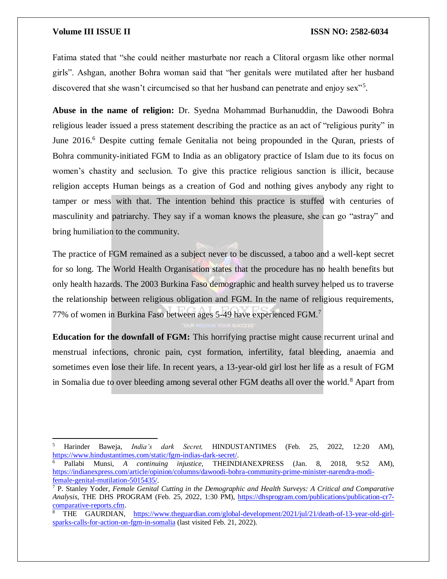$\overline{a}$ 

Fatima stated that "she could neither masturbate nor reach a Clitoral orgasm like other normal girls". Ashgan, another Bohra woman said that "her genitals were mutilated after her husband discovered that she wasn't circumcised so that her husband can penetrate and enjoy sex"<sup>5</sup>.

**Abuse in the name of religion:** Dr. Syedna Mohammad Burhanuddin, the Dawoodi Bohra religious leader issued a press statement describing the practice as an act of "religious purity" in June 2016.<sup>6</sup> Despite cutting female Genitalia not being propounded in the Quran, priests of Bohra community-initiated FGM to India as an obligatory practice of Islam due to its focus on women's chastity and seclusion. To give this practice religious sanction is illicit, because religion accepts Human beings as a creation of God and nothing gives anybody any right to tamper or mess with that. The intention behind this practice is stuffed with centuries of masculinity and patriarchy. They say if a woman knows the pleasure, she can go "astray" and bring humiliation to the community.

The practice of FGM remained as a subject never to be discussed, a taboo and a well-kept secret for so long. The World Health Organisation states that the procedure has no health benefits but only health hazards. The 2003 Burkina Faso demographic and health survey helped us to traverse the relationship between religious obligation and FGM. In the name of religious requirements, 77% of women in Burkina Faso between ages 5-49 have experienced FGM.<sup>7</sup>

**Education for the downfall of FGM:** This horrifying practise might cause recurrent urinal and menstrual infections, chronic pain, cyst formation, infertility, fatal bleeding, anaemia and sometimes even lose their life. In recent years, a 13-year-old girl lost her life as a result of FGM in Somalia due to over bleeding among several other FGM deaths all over the world.<sup>8</sup> Apart from

<sup>5</sup> Harinder Baweja, *India's dark Secret,* HINDUSTANTIMES (Feb. 25, 2022, 12:20 AM), [https://www.hindustantimes.com/static/fgm-indias-dark-secret/.](https://www.hindustantimes.com/static/fgm-indias-dark-secret/)

<sup>6</sup> Pallabi Munsi, *A continuing injustice,* THEINDIANEXPRESS (Jan. 8, 2018, 9:52 AM), [https://indianexpress.com/article/opinion/columns/dawoodi-bohra-community-prime-minister-narendra-modi](https://indianexpress.com/article/opinion/columns/dawoodi-bohra-community-prime-minister-narendra-modi-female-genital-mutilation-5015435/)[female-genital-mutilation-5015435/.](https://indianexpress.com/article/opinion/columns/dawoodi-bohra-community-prime-minister-narendra-modi-female-genital-mutilation-5015435/)

<sup>7</sup> P. Stanley Yoder, *Female Genital Cutting in the Demographic and Health Surveys: A Critical and Comparative Analysis,* THE DHS PROGRAM (Feb. 25, 2022, 1:30 PM), [https://dhsprogram.com/publications/publication-cr7](https://dhsprogram.com/publications/publication-cr7-comparative-reports.cfm) [comparative-reports.cfm.](https://dhsprogram.com/publications/publication-cr7-comparative-reports.cfm)

<sup>8</sup> THE GAURDIAN, [https://www.theguardian.com/global-development/2021/jul/21/death-of-13-year-old-girl](https://www.theguardian.com/global-development/2021/jul/21/death-of-13-year-old-girl-sparks-calls-for-action-on-fgm-in-somalia)[sparks-calls-for-action-on-fgm-in-somalia](https://www.theguardian.com/global-development/2021/jul/21/death-of-13-year-old-girl-sparks-calls-for-action-on-fgm-in-somalia) (last visited Feb. 21, 2022).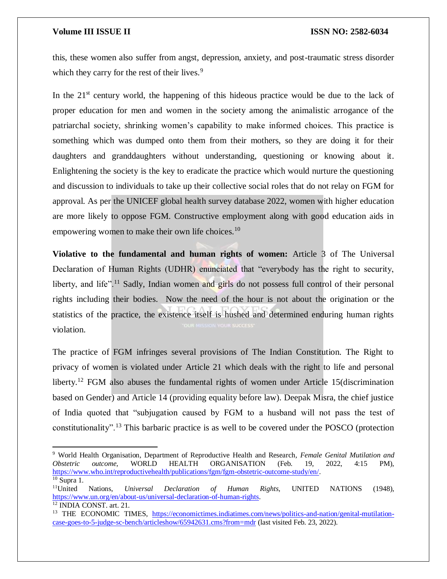$\overline{a}$ 

this, these women also suffer from angst, depression, anxiety, and post-traumatic stress disorder which they carry for the rest of their lives.<sup>9</sup>

In the  $21<sup>st</sup>$  century world, the happening of this hideous practice would be due to the lack of proper education for men and women in the society among the animalistic arrogance of the patriarchal society, shrinking women's capability to make informed choices. This practice is something which was dumped onto them from their mothers, so they are doing it for their daughters and granddaughters without understanding, questioning or knowing about it. Enlightening the society is the key to eradicate the practice which would nurture the questioning and discussion to individuals to take up their collective social roles that do not relay on FGM for approval. As per the UNICEF global health survey database 2022, women with higher education are more likely to oppose FGM. Constructive employment along with good education aids in empowering women to make their own life choices.<sup>10</sup>

**Violative to the fundamental and human rights of women:** Article 3 of The Universal Declaration of Human Rights (UDHR) enunciated that "everybody has the right to security, liberty, and life".<sup>11</sup> Sadly, Indian women and girls do not possess full control of their personal rights including their bodies. Now the need of the hour is not about the origination or the statistics of the practice, the existence itself is hushed and determined enduring human rights violation.

The practice of FGM infringes several provisions of The Indian Constitution. The Right to privacy of women is violated under Article 21 which deals with the right to life and personal liberty.<sup>12</sup> FGM also abuses the fundamental rights of women under Article 15 (discrimination based on Gender) and Article 14 (providing equality before law). Deepak Misra, the chief justice of India quoted that "subjugation caused by FGM to a husband will not pass the test of constitutionality".<sup>13</sup> This barbaric practice is as well to be covered under the POSCO (protection

<sup>9</sup> World Health Organisation, Department of Reproductive Health and Research*, Female Genital Mutilation and Obstetric outcome,* WORLD HEALTH ORGANISATION (Feb. 19, 2022, 4:15 PM), [https://www.who.int/reproductivehealth/publications/fgm/fgm-obstetric-outcome-study/en/.](https://www.who.int/reproductivehealth/publications/fgm/fgm-obstetric-outcome-study/en/)  $\frac{10}{10}$  Supra 1.

<sup>11</sup>United Nations, *Universal Declaration of Human Rights*, UNITED NATIONS (1948), [https://www.un.org/en/about-us/universal-declaration-of-human-rights.](https://www.un.org/en/about-us/universal-declaration-of-human-rights) <sup>12</sup> INDIA CONST. art. 21.

<sup>&</sup>lt;sup>13</sup> THE ECONOMIC TIMES, [https://economictimes.indiatimes.com/news/politics-and-nation/genital-mutilation](https://economictimes.indiatimes.com/news/politics-and-nation/genital-mutilation-case-goes-to-5-judge-sc-bench/articleshow/65942631.cms?from=mdr)[case-goes-to-5-judge-sc-bench/articleshow/65942631.cms?from=mdr](https://economictimes.indiatimes.com/news/politics-and-nation/genital-mutilation-case-goes-to-5-judge-sc-bench/articleshow/65942631.cms?from=mdr) (last visited Feb. 23, 2022).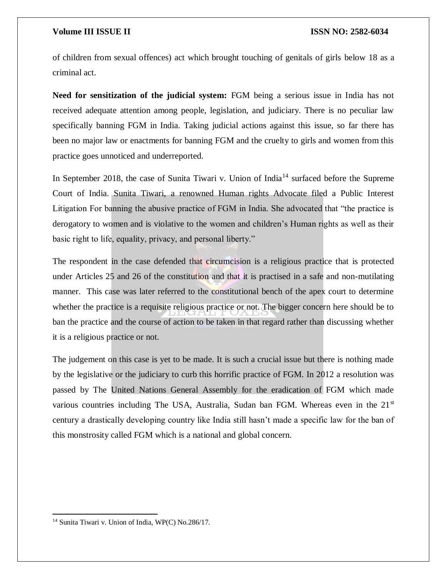of children from sexual offences) act which brought touching of genitals of girls below 18 as a criminal act.

**Need for sensitization of the judicial system:** FGM being a serious issue in India has not received adequate attention among people, legislation, and judiciary. There is no peculiar law specifically banning FGM in India. Taking judicial actions against this issue, so far there has been no major law or enactments for banning FGM and the cruelty to girls and women from this practice goes unnoticed and underreported.

In September 2018, the case of Sunita Tiwari v. Union of India<sup>14</sup> surfaced before the Supreme Court of India. Sunita Tiwari, a renowned Human rights Advocate filed a Public Interest Litigation For banning the abusive practice of FGM in India. She advocated that "the practice is derogatory to women and is violative to the women and children's Human rights as well as their basic right to life, equality, privacy, and personal liberty."

The respondent in the case defended that circumcision is a religious practice that is protected under Articles 25 and 26 of the constitution and that it is practised in a safe and non-mutilating manner. This case was later referred to the constitutional bench of the apex court to determine whether the practice is a requisite religious practice or not. The bigger concern here should be to ban the practice and the course of action to be taken in that regard rather than discussing whether it is a religious practice or not.

The judgement on this case is yet to be made. It is such a crucial issue but there is nothing made by the legislative or the judiciary to curb this horrific practice of FGM. In 2012 a resolution was passed by The United Nations General Assembly for the eradication of FGM which made various countries including The USA, Australia, Sudan ban FGM. Whereas even in the 21<sup>st</sup> century a drastically developing country like India still hasn't made a specific law for the ban of this monstrosity called FGM which is a national and global concern.

 $\overline{a}$ 

<sup>&</sup>lt;sup>14</sup> Sunita Tiwari v. Union of India, WP(C) No.286/17.